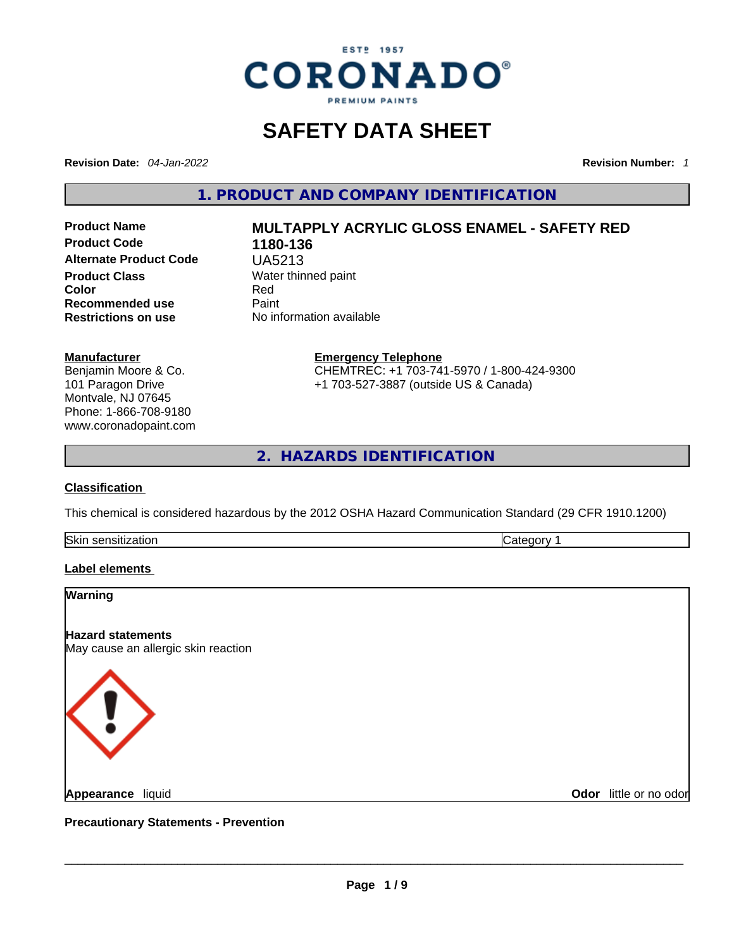

# **SAFETY DATA SHEET**

**Revision Date:** *04-Jan-2022* **Revision Number:** *1*

**1. PRODUCT AND COMPANY IDENTIFICATION** 

**No information available** 

**Product Code 1180-136 Alternate Product Code** UA5213 **Product Class Water thinned paint**<br> **Color** Red **Recommended use** Paint<br> **Restrictions on use** No inf

# **Product Name MULTAPPLY ACRYLIC GLOSS ENAMEL - SAFETY RED Color** Red

**Manufacturer**

Benjamin Moore & Co. 101 Paragon Drive Montvale, NJ 07645 Phone: 1-866-708-9180 www.coronadopaint.com **Emergency Telephone** CHEMTREC: +1 703-741-5970 / 1-800-424-9300 +1 703-527-3887 (outside US & Canada)

**2. HAZARDS IDENTIFICATION** 

#### **Classification**

This chemical is considered hazardous by the 2012 OSHA Hazard Communication Standard (29 CFR 1910.1200)

Skin sensitization **Category 1 Category 1** 

#### **Label elements**

| Warning                                                         |                        |
|-----------------------------------------------------------------|------------------------|
| <b>Hazard statements</b><br>May cause an allergic skin reaction |                        |
| $\begin{pmatrix} 1 \end{pmatrix}$                               |                        |
| Appearance liquid                                               | Odor little or no odor |
| <b>Precautionary Statements - Prevention</b>                    |                        |
|                                                                 |                        |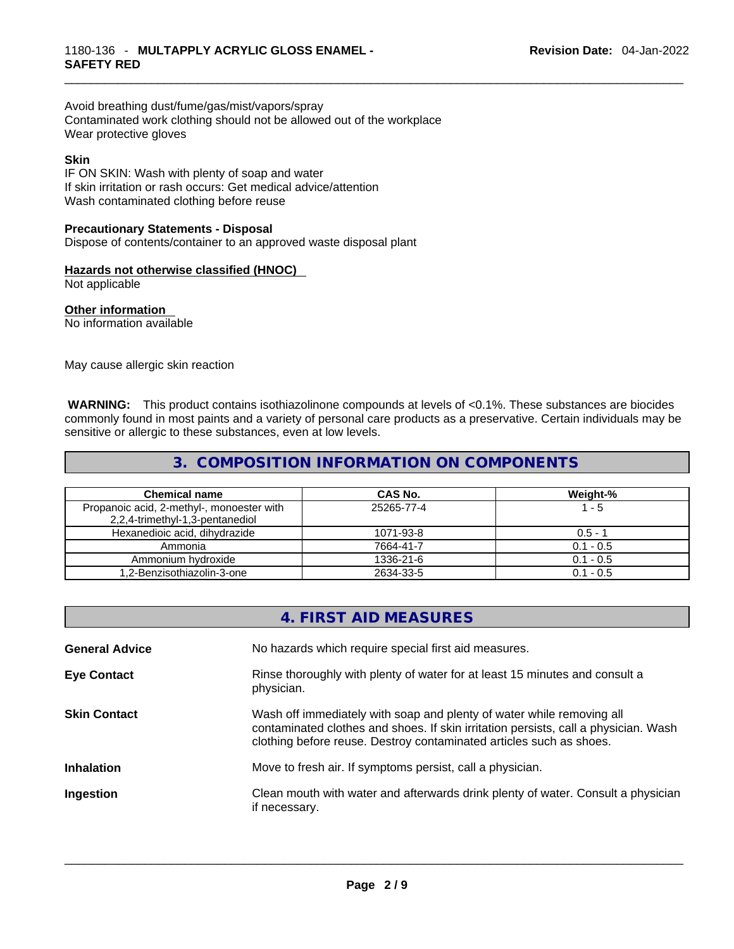Avoid breathing dust/fume/gas/mist/vapors/spray Contaminated work clothing should not be allowed out of the workplace Wear protective gloves

#### **Skin**

IF ON SKIN: Wash with plenty of soap and water If skin irritation or rash occurs: Get medical advice/attention Wash contaminated clothing before reuse

#### **Precautionary Statements - Disposal**

Dispose of contents/container to an approved waste disposal plant

#### **Hazards not otherwise classified (HNOC)**

Not applicable

#### **Other information**

No information available

May cause allergic skin reaction

**WARNING:** This product contains isothiazolinone compounds at levels of <0.1%. These substances are biocides commonly found in most paints and a variety of personal care products as a preservative. Certain individuals may be sensitive or allergic to these substances, even at low levels.

## **3. COMPOSITION INFORMATION ON COMPONENTS**

| <b>Chemical name</b>                                                         | CAS No.    | Weight-%    |
|------------------------------------------------------------------------------|------------|-------------|
| Propanoic acid, 2-methyl-, monoester with<br>2,2,4-trimethyl-1,3-pentanediol | 25265-77-4 | 1 - 5       |
| Hexanedioic acid, dihydrazide                                                | 1071-93-8  | $0.5 - 1$   |
| Ammonia                                                                      | 7664-41-7  | $0.1 - 0.5$ |
| Ammonium hydroxide                                                           | 1336-21-6  | $0.1 - 0.5$ |
| 1,2-Benzisothiazolin-3-one                                                   | 2634-33-5  | $0.1 - 0.5$ |

|                       | 4. FIRST AID MEASURES                                                                                                                                                                                                               |
|-----------------------|-------------------------------------------------------------------------------------------------------------------------------------------------------------------------------------------------------------------------------------|
| <b>General Advice</b> | No hazards which require special first aid measures.                                                                                                                                                                                |
| <b>Eye Contact</b>    | Rinse thoroughly with plenty of water for at least 15 minutes and consult a<br>physician.                                                                                                                                           |
| <b>Skin Contact</b>   | Wash off immediately with soap and plenty of water while removing all<br>contaminated clothes and shoes. If skin irritation persists, call a physician. Wash<br>clothing before reuse. Destroy contaminated articles such as shoes. |
| <b>Inhalation</b>     | Move to fresh air. If symptoms persist, call a physician.                                                                                                                                                                           |
| Ingestion             | Clean mouth with water and afterwards drink plenty of water. Consult a physician<br>if necessary.                                                                                                                                   |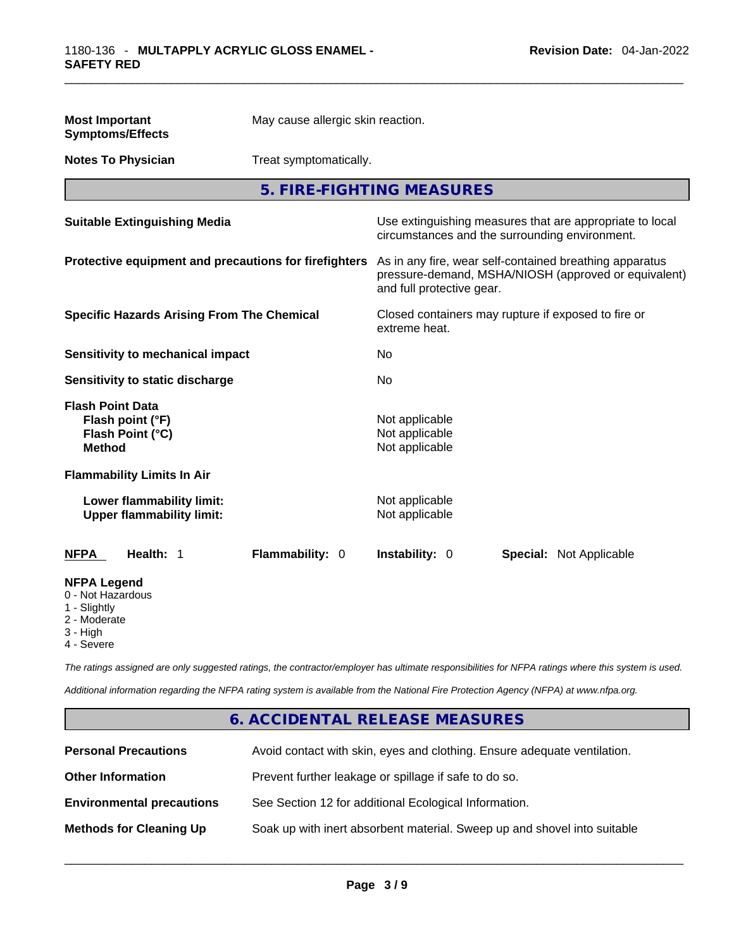| <b>Most Important</b><br><b>Symptoms/Effects</b>                                                   | May cause allergic skin reaction. |                                                    |                                                                                                                 |
|----------------------------------------------------------------------------------------------------|-----------------------------------|----------------------------------------------------|-----------------------------------------------------------------------------------------------------------------|
| <b>Notes To Physician</b>                                                                          | Treat symptomatically.            |                                                    |                                                                                                                 |
|                                                                                                    |                                   | 5. FIRE-FIGHTING MEASURES                          |                                                                                                                 |
| <b>Suitable Extinguishing Media</b>                                                                |                                   |                                                    | Use extinguishing measures that are appropriate to local<br>circumstances and the surrounding environment.      |
| Protective equipment and precautions for firefighters                                              |                                   | and full protective gear.                          | As in any fire, wear self-contained breathing apparatus<br>pressure-demand, MSHA/NIOSH (approved or equivalent) |
| <b>Specific Hazards Arising From The Chemical</b>                                                  |                                   | extreme heat.                                      | Closed containers may rupture if exposed to fire or                                                             |
| <b>Sensitivity to mechanical impact</b>                                                            |                                   | No                                                 |                                                                                                                 |
| Sensitivity to static discharge                                                                    |                                   | No                                                 |                                                                                                                 |
| <b>Flash Point Data</b><br>Flash point (°F)<br>Flash Point (°C)<br><b>Method</b>                   |                                   | Not applicable<br>Not applicable<br>Not applicable |                                                                                                                 |
| <b>Flammability Limits In Air</b><br>Lower flammability limit:<br><b>Upper flammability limit:</b> |                                   | Not applicable<br>Not applicable                   |                                                                                                                 |
| Health: 1<br><b>NFPA</b>                                                                           | Flammability: 0                   | Instability: 0                                     | <b>Special: Not Applicable</b>                                                                                  |
| <b>NFPA Legend</b><br>0 - Not Hazardous<br>1 - Slightly<br>2 - Moderate<br>3 - High<br>4 - Severe  |                                   |                                                    |                                                                                                                 |

*The ratings assigned are only suggested ratings, the contractor/employer has ultimate responsibilities for NFPA ratings where this system is used.* 

*Additional information regarding the NFPA rating system is available from the National Fire Protection Agency (NFPA) at www.nfpa.org.* 

# **6. ACCIDENTAL RELEASE MEASURES**

| <b>Personal Precautions</b>      | Avoid contact with skin, eyes and clothing. Ensure adequate ventilation. |
|----------------------------------|--------------------------------------------------------------------------|
| <b>Other Information</b>         | Prevent further leakage or spillage if safe to do so.                    |
| <b>Environmental precautions</b> | See Section 12 for additional Ecological Information.                    |
| <b>Methods for Cleaning Up</b>   | Soak up with inert absorbent material. Sweep up and shovel into suitable |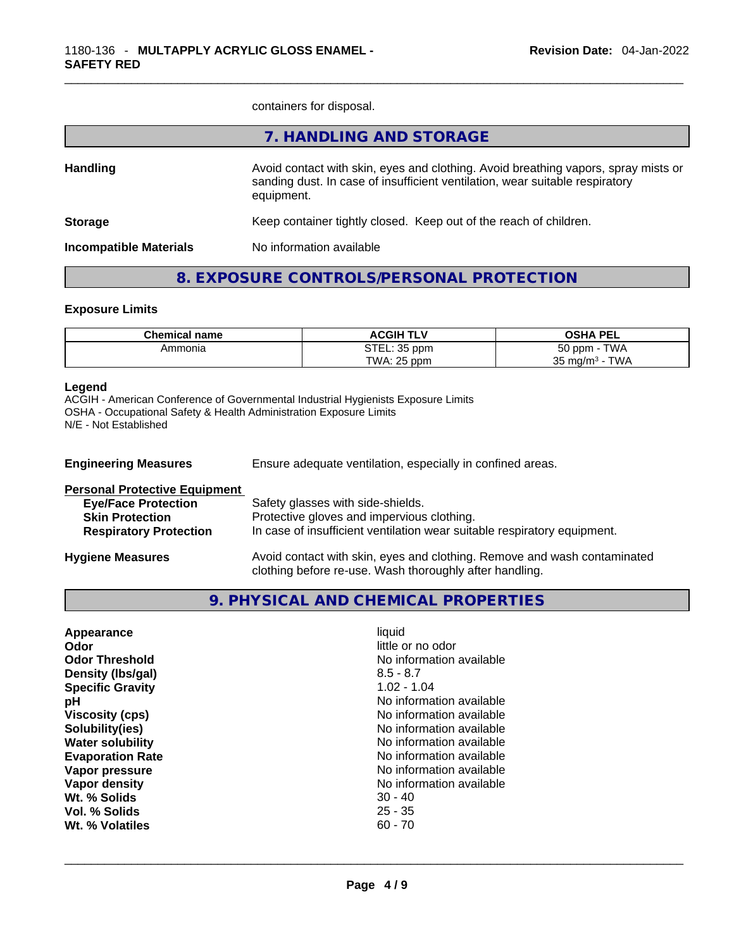containers for disposal.

|                               | 7. HANDLING AND STORAGE                                                                                                                                                          |
|-------------------------------|----------------------------------------------------------------------------------------------------------------------------------------------------------------------------------|
| <b>Handling</b>               | Avoid contact with skin, eyes and clothing. Avoid breathing vapors, spray mists or<br>sanding dust. In case of insufficient ventilation, wear suitable respiratory<br>equipment. |
| <b>Storage</b>                | Keep container tightly closed. Keep out of the reach of children.                                                                                                                |
| <b>Incompatible Materials</b> | No information available                                                                                                                                                         |
|                               |                                                                                                                                                                                  |

# **8. EXPOSURE CONTROLS/PERSONAL PROTECTION**

#### **Exposure Limits**

| <b>Chemical name</b> | <b>ACGIH TLV</b>                      | <b>OSHA PEL</b>                              |
|----------------------|---------------------------------------|----------------------------------------------|
| Ammonia              | <b>OTF</b><br>35 ppm<br>. ـ ـ ـ ـ ا ت | <b>TWA</b><br>$50$ ppm                       |
|                      | TWA:<br>$\theta$ . OF<br>ppm          | $T$ $M$<br>२६<br>ັ mɑ/m <sup>ა</sup> -<br>ບບ |

#### **Legend**

ACGIH - American Conference of Governmental Industrial Hygienists Exposure Limits OSHA - Occupational Safety & Health Administration Exposure Limits N/E - Not Established

| <b>Engineering Measures</b>          | Ensure adequate ventilation, especially in confined areas.                                                                          |  |  |
|--------------------------------------|-------------------------------------------------------------------------------------------------------------------------------------|--|--|
| <b>Personal Protective Equipment</b> |                                                                                                                                     |  |  |
| <b>Eye/Face Protection</b>           | Safety glasses with side-shields.                                                                                                   |  |  |
| <b>Skin Protection</b>               | Protective gloves and impervious clothing.                                                                                          |  |  |
| <b>Respiratory Protection</b>        | In case of insufficient ventilation wear suitable respiratory equipment.                                                            |  |  |
| <b>Hygiene Measures</b>              | Avoid contact with skin, eyes and clothing. Remove and wash contaminated<br>clothing before re-use. Wash thoroughly after handling. |  |  |

## **9. PHYSICAL AND CHEMICAL PROPERTIES**

| Appearance              | liquid                   |
|-------------------------|--------------------------|
| Odor                    | little or no odor        |
| <b>Odor Threshold</b>   | No information available |
| Density (Ibs/gal)       | $8.5 - 8.7$              |
| <b>Specific Gravity</b> | $1.02 - 1.04$            |
| рH                      | No information available |
| <b>Viscosity (cps)</b>  | No information available |
| Solubility(ies)         | No information available |
| <b>Water solubility</b> | No information available |
| <b>Evaporation Rate</b> | No information available |
| Vapor pressure          | No information available |
| Vapor density           | No information available |
| Wt. % Solids            | $30 - 40$                |
| Vol. % Solids           | $25 - 35$                |
| Wt. % Volatiles         | $60 - 70$                |
|                         |                          |
|                         |                          |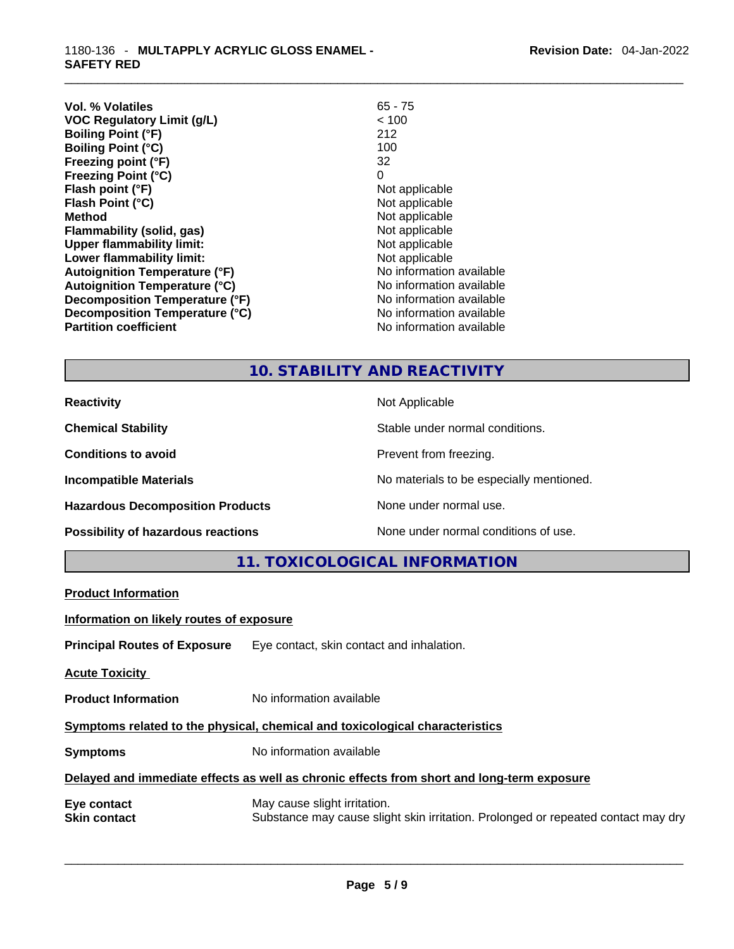| Vol. % Volatiles                     | 65 - 75                  |
|--------------------------------------|--------------------------|
| <b>VOC Regulatory Limit (g/L)</b>    | < 100                    |
| <b>Boiling Point (°F)</b>            | 212                      |
| <b>Boiling Point (°C)</b>            | 100                      |
| Freezing point (°F)                  | 32                       |
| <b>Freezing Point (°C)</b>           | 0                        |
| Flash point (°F)                     | Not applicable           |
| Flash Point (°C)                     | Not applicable           |
| Method                               | Not applicable           |
| Flammability (solid, gas)            | Not applicable           |
| <b>Upper flammability limit:</b>     | Not applicable           |
| Lower flammability limit:            | Not applicable           |
| <b>Autoignition Temperature (°F)</b> | No information available |
| <b>Autoignition Temperature (°C)</b> | No information available |
| Decomposition Temperature (°F)       | No information available |
| Decomposition Temperature (°C)       | No information available |
| <b>Partition coefficient</b>         | No information available |

# **10. STABILITY AND REACTIVITY**

| <b>Reactivity</b>                       | Not Applicable                           |
|-----------------------------------------|------------------------------------------|
| <b>Chemical Stability</b>               | Stable under normal conditions.          |
| <b>Conditions to avoid</b>              | Prevent from freezing.                   |
| <b>Incompatible Materials</b>           | No materials to be especially mentioned. |
| <b>Hazardous Decomposition Products</b> | None under normal use.                   |
| Possibility of hazardous reactions      | None under normal conditions of use.     |

**11. TOXICOLOGICAL INFORMATION** 

| <b>Product Information</b>                                                                 |                                                                                                                   |  |  |
|--------------------------------------------------------------------------------------------|-------------------------------------------------------------------------------------------------------------------|--|--|
| Information on likely routes of exposure                                                   |                                                                                                                   |  |  |
|                                                                                            | <b>Principal Routes of Exposure</b> Eye contact, skin contact and inhalation.                                     |  |  |
| <b>Acute Toxicity</b>                                                                      |                                                                                                                   |  |  |
| <b>Product Information</b>                                                                 | No information available                                                                                          |  |  |
| Symptoms related to the physical, chemical and toxicological characteristics               |                                                                                                                   |  |  |
| <b>Symptoms</b>                                                                            | No information available                                                                                          |  |  |
| Delayed and immediate effects as well as chronic effects from short and long-term exposure |                                                                                                                   |  |  |
| Eye contact<br><b>Skin contact</b>                                                         | May cause slight irritation.<br>Substance may cause slight skin irritation. Prolonged or repeated contact may dry |  |  |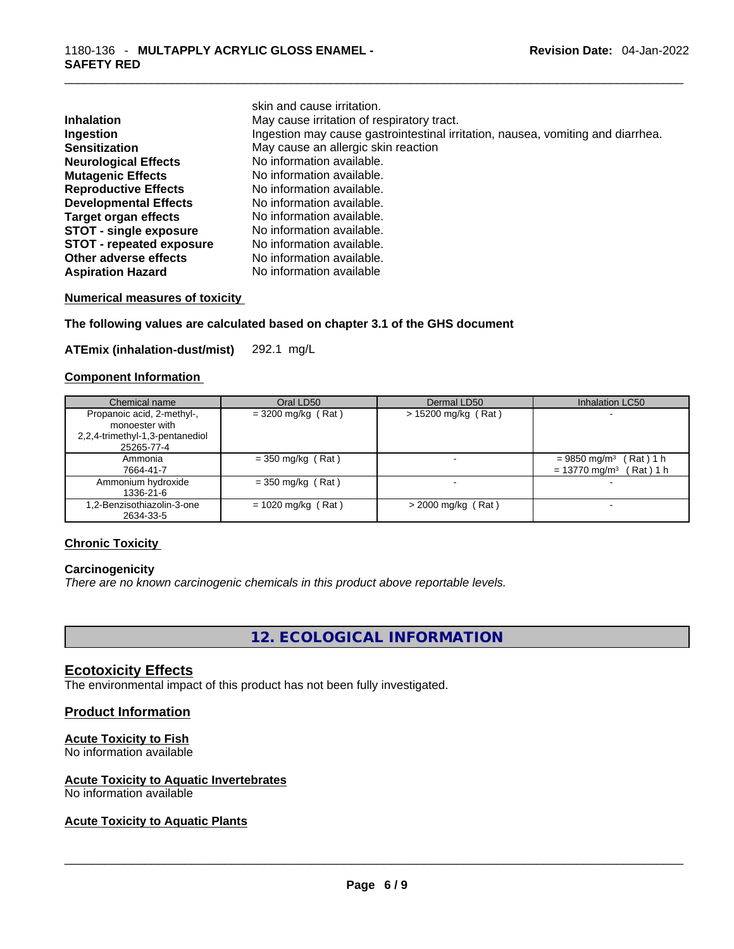|                                 | skin and cause irritation.                                                      |
|---------------------------------|---------------------------------------------------------------------------------|
| <b>Inhalation</b>               | May cause irritation of respiratory tract.                                      |
| Ingestion                       | Ingestion may cause gastrointestinal irritation, nausea, vomiting and diarrhea. |
| <b>Sensitization</b>            | May cause an allergic skin reaction                                             |
| <b>Neurological Effects</b>     | No information available.                                                       |
| <b>Mutagenic Effects</b>        | No information available.                                                       |
| <b>Reproductive Effects</b>     | No information available.                                                       |
| <b>Developmental Effects</b>    | No information available.                                                       |
| Target organ effects            | No information available.                                                       |
| <b>STOT - single exposure</b>   | No information available.                                                       |
| <b>STOT - repeated exposure</b> | No information available.                                                       |
| Other adverse effects           | No information available.                                                       |
| <b>Aspiration Hazard</b>        | No information available                                                        |

#### **Numerical measures of toxicity**

#### **The following values are calculated based on chapter 3.1 of the GHS document**

**ATEmix (inhalation-dust/mist)** 292.1 mg/L

#### **Component Information**

| Chemical name                                                                                 | Oral LD50            | Dermal LD50           | Inhalation LC50                                                                    |
|-----------------------------------------------------------------------------------------------|----------------------|-----------------------|------------------------------------------------------------------------------------|
| Propanoic acid, 2-methyl-,<br>monoester with<br>2,2,4-trimethyl-1,3-pentanediol<br>25265-77-4 | $= 3200$ mg/kg (Rat) | $> 15200$ mg/kg (Rat) | ٠                                                                                  |
| Ammonia<br>7664-41-7                                                                          | $=$ 350 mg/kg (Rat)  | $\,$                  | $= 9850$ mg/m <sup>3</sup> (Rat) 1 h<br>$= 13770$ mg/m <sup>3</sup><br>$(Rat)$ 1 h |
| Ammonium hydroxide<br>1336-21-6                                                               | $=$ 350 mg/kg (Rat)  |                       |                                                                                    |
| .2-Benzisothiazolin-3-one<br>2634-33-5                                                        | $= 1020$ mg/kg (Rat) | $>$ 2000 mg/kg (Rat)  |                                                                                    |

#### **Chronic Toxicity**

#### **Carcinogenicity**

*There are no known carcinogenic chemicals in this product above reportable levels.* 

**12. ECOLOGICAL INFORMATION** 

#### **Ecotoxicity Effects**

The environmental impact of this product has not been fully investigated.

#### **Product Information**

#### **Acute Toxicity to Fish**

No information available

# **Acute Toxicity to Aquatic Invertebrates**

# No information available \_\_\_\_\_\_\_\_\_\_\_\_\_\_\_\_\_\_\_\_\_\_\_\_\_\_\_\_\_\_\_\_\_\_\_\_\_\_\_\_\_\_\_\_\_\_\_\_\_\_\_\_\_\_\_\_\_\_\_\_\_\_\_\_\_\_\_\_\_\_\_\_\_\_\_\_\_\_\_\_\_\_\_\_\_\_\_\_\_\_\_\_\_ **Acute Toxicity to Aquatic Plants**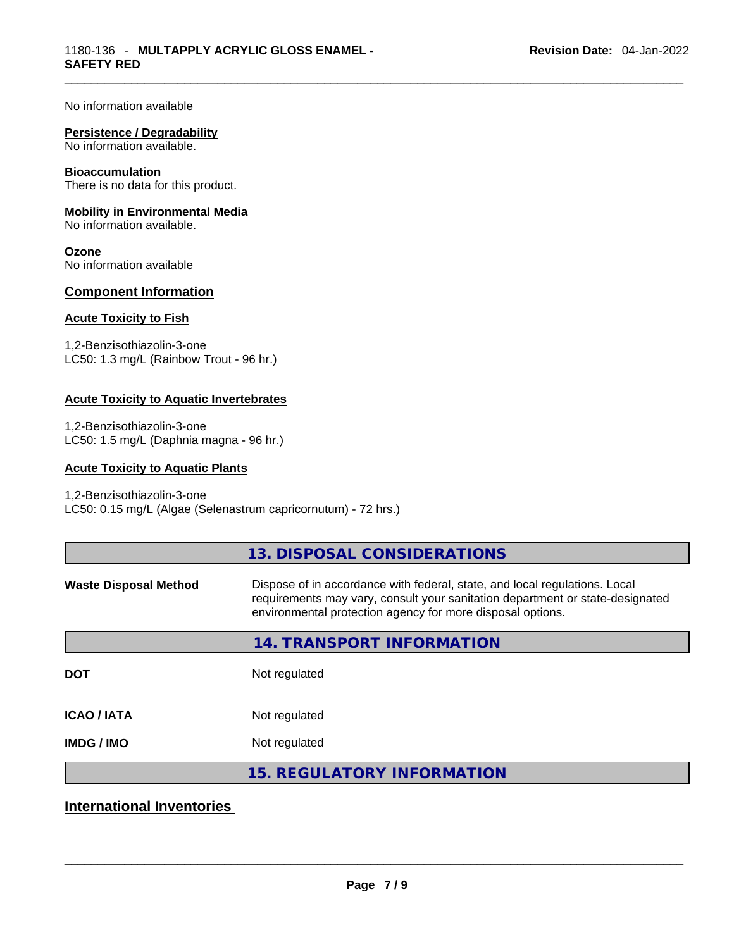No information available

#### **Persistence / Degradability**

No information available.

#### **Bioaccumulation**

There is no data for this product.

#### **Mobility in Environmental Media**

No information available.

**Ozone** No information available

#### **Component Information**

#### **Acute Toxicity to Fish**

1,2-Benzisothiazolin-3-one LC50: 1.3 mg/L (Rainbow Trout - 96 hr.)

#### **Acute Toxicity to Aquatic Invertebrates**

1,2-Benzisothiazolin-3-one LC50: 1.5 mg/L (Daphnia magna - 96 hr.)

#### **Acute Toxicity to Aquatic Plants**

#### 1,2-Benzisothiazolin-3-one LC50: 0.15 mg/L (Algae (Selenastrum capricornutum) - 72 hrs.)

|                              | 13. DISPOSAL CONSIDERATIONS                                                                                                                                                                                               |
|------------------------------|---------------------------------------------------------------------------------------------------------------------------------------------------------------------------------------------------------------------------|
| <b>Waste Disposal Method</b> | Dispose of in accordance with federal, state, and local regulations. Local<br>requirements may vary, consult your sanitation department or state-designated<br>environmental protection agency for more disposal options. |
|                              | 14. TRANSPORT INFORMATION                                                                                                                                                                                                 |
| <b>DOT</b>                   | Not regulated                                                                                                                                                                                                             |
| <b>ICAO / IATA</b>           | Not regulated                                                                                                                                                                                                             |
| <b>IMDG / IMO</b>            | Not regulated                                                                                                                                                                                                             |
|                              | <b>15. REGULATORY INFORMATION</b>                                                                                                                                                                                         |
|                              |                                                                                                                                                                                                                           |

# **International Inventories**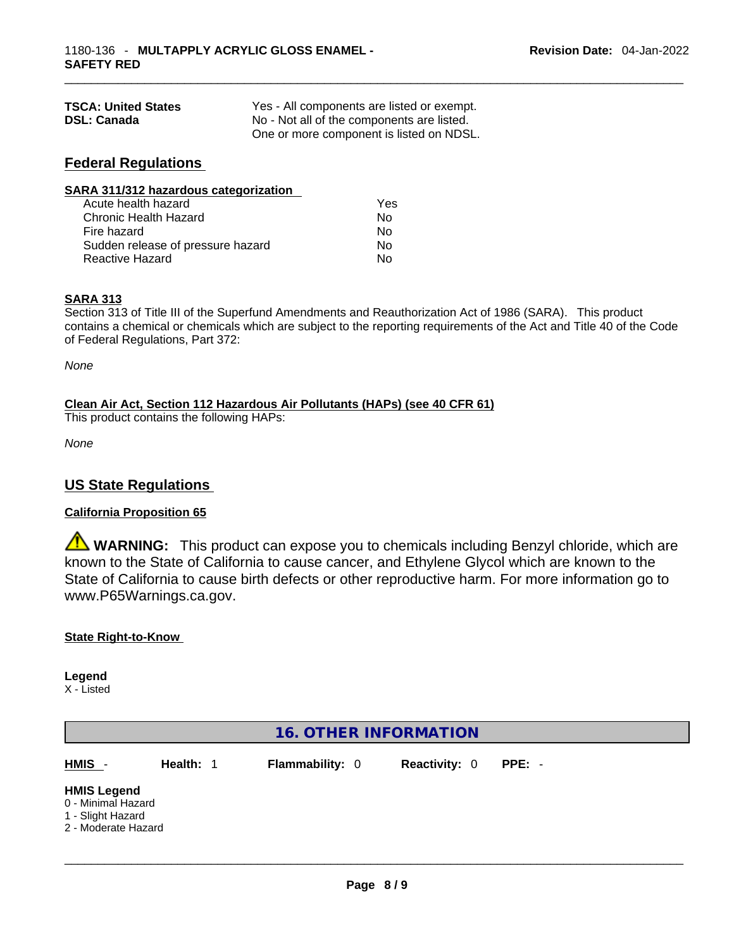| <b>TSCA: United States</b> | Yes - All components are listed or exempt. |
|----------------------------|--------------------------------------------|
| <b>DSL: Canada</b>         | No - Not all of the components are listed. |
|                            | One or more component is listed on NDSL.   |

## **Federal Regulations**

| SARA 311/312 hazardous categorization |                |  |
|---------------------------------------|----------------|--|
| Acute health hazard                   | Yes            |  |
| Chronic Health Hazard                 | No             |  |
| Fire hazard                           | N <sub>0</sub> |  |
| Sudden release of pressure hazard     | Nο             |  |
| <b>Reactive Hazard</b>                | No             |  |

#### **SARA 313**

Section 313 of Title III of the Superfund Amendments and Reauthorization Act of 1986 (SARA). This product contains a chemical or chemicals which are subject to the reporting requirements of the Act and Title 40 of the Code of Federal Regulations, Part 372:

*None*

**Clean Air Act,Section 112 Hazardous Air Pollutants (HAPs) (see 40 CFR 61)**

This product contains the following HAPs:

*None*

### **US State Regulations**

#### **California Proposition 65**

**WARNING:** This product can expose you to chemicals including Benzyl chloride, which are known to the State of California to cause cancer, and Ethylene Glycol which are known to the State of California to cause birth defects or other reproductive harm. For more information go to www.P65Warnings.ca.gov.

#### **State Right-to-Know**

**Legend** X - Listed

|                                                                                      |           | 16. OTHER INFORMATION  |                      |          |  |
|--------------------------------------------------------------------------------------|-----------|------------------------|----------------------|----------|--|
| HMIS -                                                                               | Health: 1 | <b>Flammability: 0</b> | <b>Reactivity: 0</b> | $PPE: -$ |  |
| <b>HMIS Legend</b><br>0 - Minimal Hazard<br>1 - Slight Hazard<br>2 - Moderate Hazard |           |                        |                      |          |  |